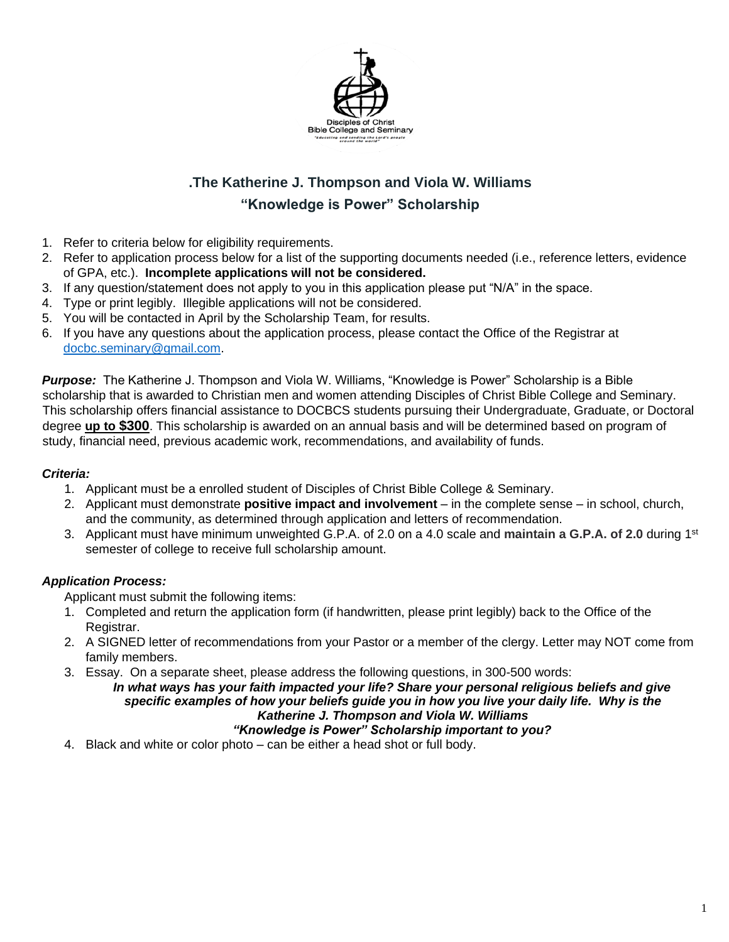

# **.The Katherine J. Thompson and Viola W. Williams "Knowledge is Power" Scholarship**

- 1. Refer to criteria below for eligibility requirements.
- 2. Refer to application process below for a list of the supporting documents needed (i.e., reference letters, evidence of GPA, etc.). **Incomplete applications will not be considered.**
- 3. If any question/statement does not apply to you in this application please put "N/A" in the space.
- 4. Type or print legibly. Illegible applications will not be considered.
- 5. You will be contacted in April by the Scholarship Team, for results.
- 6. If you have any questions about the application process, please contact the Office of the Registrar at [docbc.seminary@gmail.com.](mailto:docbc.seminary@gmail.com)

*Purpose:* The Katherine J. Thompson and Viola W. Williams, "Knowledge is Power" Scholarship is a Bible scholarship that is awarded to Christian men and women attending Disciples of Christ Bible College and Seminary. This scholarship offers financial assistance to DOCBCS students pursuing their Undergraduate, Graduate, or Doctoral degree **up to \$300**. This scholarship is awarded on an annual basis and will be determined based on program of study, financial need, previous academic work, recommendations, and availability of funds.

#### *Criteria:*

- 1. Applicant must be a enrolled student of Disciples of Christ Bible College & Seminary.
- 2. Applicant must demonstrate **positive impact and involvement** in the complete sense in school, church, and the community, as determined through application and letters of recommendation.
- 3. Applicant must have minimum unweighted G.P.A. of 2.0 on a 4.0 scale and **maintain a G.P.A. of 2.0** during 1st semester of college to receive full scholarship amount.

#### *Application Process:*

Applicant must submit the following items:

- 1. Completed and return the application form (if handwritten, please print legibly) back to the Office of the Registrar.
- 2. A SIGNED letter of recommendations from your Pastor or a member of the clergy. Letter may NOT come from family members.
- 3. Essay. On a separate sheet, please address the following questions, in 300-500 words:

*In what ways has your faith impacted your life? Share your personal religious beliefs and give specific examples of how your beliefs guide you in how you live your daily life. Why is the Katherine J. Thompson and Viola W. Williams*

### *"Knowledge is Power" Scholarship important to you?*

4. Black and white or color photo – can be either a head shot or full body.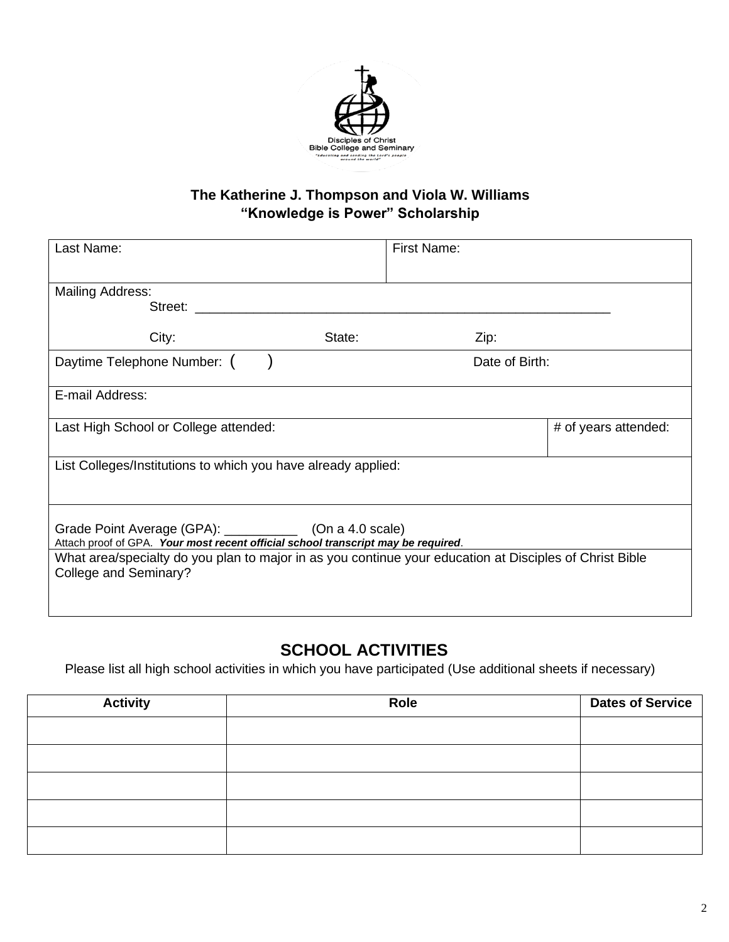

### **The Katherine J. Thompson and Viola W. Williams "Knowledge is Power" Scholarship**

| Last Name:                                                                                                                                      | <b>First Name:</b> |                      |  |  |
|-------------------------------------------------------------------------------------------------------------------------------------------------|--------------------|----------------------|--|--|
| <b>Mailing Address:</b><br>Street: _________                                                                                                    |                    |                      |  |  |
| City:<br>State:                                                                                                                                 | Zip:               |                      |  |  |
| Daytime Telephone Number: (                                                                                                                     | Date of Birth:     |                      |  |  |
| E-mail Address:                                                                                                                                 |                    |                      |  |  |
| Last High School or College attended:                                                                                                           |                    | # of years attended: |  |  |
| List Colleges/Institutions to which you have already applied:                                                                                   |                    |                      |  |  |
| Grade Point Average (GPA): ______________ (On a 4.0 scale)<br>Attach proof of GPA. Your most recent official school transcript may be required. |                    |                      |  |  |
| What area/specialty do you plan to major in as you continue your education at Disciples of Christ Bible<br>College and Seminary?                |                    |                      |  |  |

# **SCHOOL ACTIVITIES**

Please list all high school activities in which you have participated (Use additional sheets if necessary)

| <b>Activity</b> | Role | <b>Dates of Service</b> |
|-----------------|------|-------------------------|
|                 |      |                         |
|                 |      |                         |
|                 |      |                         |
|                 |      |                         |
|                 |      |                         |